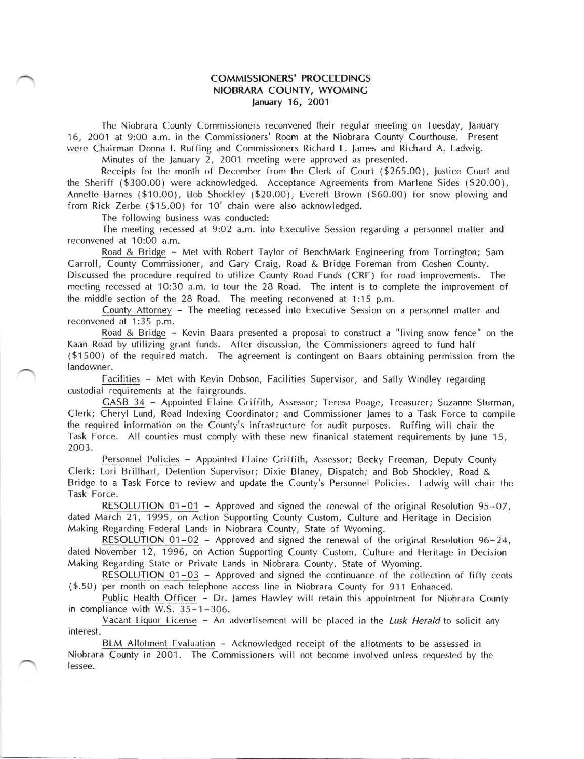## COMMISSIONERS' PROCEEDINGS NIOBRARA COUNTY, WYOMINC lanuary 16, 2O01

The Niobrara County Commissioners reconvened their regular meeting on Tuesday, lanuary '16, 2OO1 at 9:00 a.m. in the Commissioners' Room at the Niobrara County Courthouse, Present were Chairman Donna l. Ruffing and Commissioners Richard L. Janres and Richard A. Ladwig.

Minutes of the lanuary 2, 2001 meeting were approved as presented.

Receipts for the month of December from the Clerk of Court (\$265.00), Justice Court and the Sheriff (\$300.00) were acknowledged. Acceptance Agreements from Marlene Sides (\$20.00), Annette Barnes (\$10.00), Bob Shockley (\$20.00), Everett Brown (\$60.00) for snow plowing and from Rick Zerbe (\$15.00) for 10' chain were also acknowledged.

The following business was conducted:

The meeting recessed at 9:O2 a.m. into Executive Session regarding a personnel matter and reconvened at 10:00 a.m.

Road & Bridge - Met with Robert Taylor of BenchMark Engineering from Torrington; Sam Carroll, County Commissioner, and Cary Craig, Road & Bridge Foreman from Coshen County. Discussed the procedure required to utilize County Road Funds (CRF) for road improvements. The meeting recessed at 10:30 a.m. to tour the 28 Road. The intent is to complete the improvement of the middle section of the 28 Road. The meeting reconvened at 1:15 p.m.

County Attorney - The meeting recessed into Executive Session on a personnel matter and reconvened at 1:35 p.m.

Road & Bridge - Kevin Baars presented a proposal to construct a "living snow fence" on the Kaan Road by utilizing grant funds. After discussion, the Commissioners agreed to fund half (\$1500) of the required match. The agreement is contingent on Baars obtaining permission from the landowner.

Facilities - Met with Kevin Dobson, Facilities Supervisor, and Sally Windley regarding custodial requirements at the fairgrounds.

CASB 34 - Appointed Elaine Criffith, Assessor; Teresa Poage, Treasurer; Suzanne Sturman, Clerk; Cheryl Lund, Road lndexing Coordinator; and Commissioner lames to a Task Force to compile the required information on the County's infrastructure for audit purposes. Ruffing will chair the Task Force. All counties must comply with these new finanical statement requirements by June 15, 2003.

Personnel Policies - Appointed Elaine Griffith, Assessor; Becky Freeman, Deputy County Clerk; Lori Brillhart, Detention Supervisor; Dixie Blaney, Dispatch; and Bob Shockley, Road & Bridge to a Task Force to review and update the County's Personnel Policies. Ladwig will chair the Task Force.

RESOLUTION 01-O1 - Approved and signed the renewal of the original Resolution 95-07, dated March 21, 1995, on Action Supporting County Custom, Culture and Heritage in Decision Making Regarding Federal Lands in Niobrara County, State of Wyoming.

RESOLUTION 01-02 - Approved and signed the renewal of the original Resolution  $96-24$ , dated November 12, 1996, on Action Supporting County Custom, Culture and Heritage in Decision Making Regarding State or Private Lands in Niobrara County, State of Wyoming.

RESOLUTION 01-03 - Approved and signed the continuance of the collection of fifty cents (\$.50) per month on each telephone access line in Niobrara County for 911 Enhanced.

Public Health Officer - Dr. James Hawley will retain this appointment for Niobrara County in compliance with W.S. 35-1-306.

Vacant Liquor License - An advertisement will be placed in the Lusk Herald to solicit any interest.

BLM Allotment Evaluation - Acknowledged receipt of the allotments to be assessed in Niobrara County in 2001. The Commissioners will not become involved unless requested by the lessee.